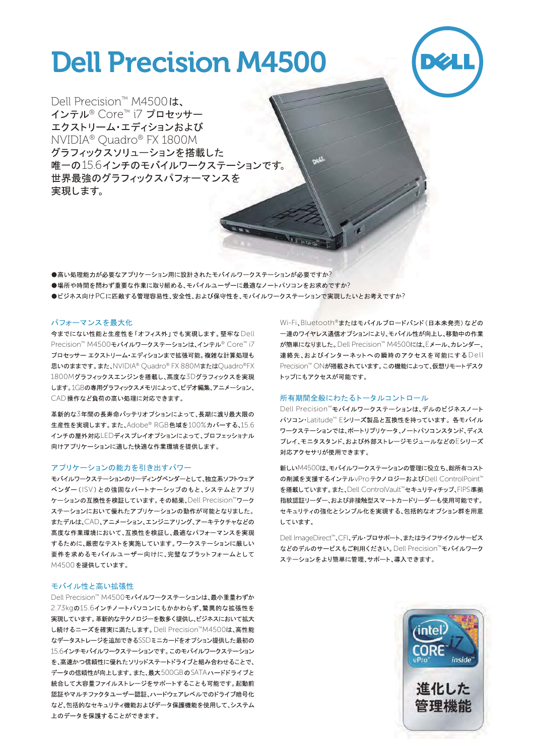# Dell Precision M4500



Dell Precision™ M4500 **は、** インテル® Core™ i7 プロセッサー エクストリーム·エディションおよび NVIDIA® Quadro® FX 1800M グラフィックスソリューションを搭載した 唯一の156インチのモバイルワークステーションです。 世界最強のグラフィックスパフォーマンスを 実現します。

●高い処理能力が必要なアプリケーション用に設計されたモバイルワークステーションが必要ですか?

●場所や時間を問わず重要な作業に取り組める、モバイルユーザーに最適なノートパソコンをお求めですか?

●ビジネス向けPCに匹敵する管理容易性、安全性、および保守性を、モバイルワークステーションで実現したいとお考えですか?

# パフォーマンスを最大化

今までにない性能と生産性を「オフィス外」でも実現します。堅牢なDell Precision™ M4500モバイルワークステーションは、インテル® Core™ i7 プロセッサー エクストリーム・エディションまで拡張可能。複雑な計算処理も 思いのままです。また、NVIDIA® Ouadro® FX 880MまたはOuadro®FX 1800Mグラフィックスエンジンを搭載し、高度な3Dグラフィックスを実現 します。1GBの専用グラフィックスメモリによって、ビデオ編集、アニメーション、 CAD操作など負荷の高い処理に対応できます。

革新的な3年間の長寿命バッテリオプションによって、長期に渡り最大限の 生産性を実現します。また、Adobe® RGB色域を100%カバーする、15.6 インチの屋外対応LEDディスプレイオプションによって、プロフェッショナル 向けアプリケーションに適した快適な作業環境を提供します。

### アプリケーションの能力を引き出すパワー

モバイルワークステーションのリーディングベンダーとして、独立系ソフトウェア ベンダー (ISV) との強固なパートナーシップのもと、システムとアプリ ケーションの互換性を検証しています。その結果、Dell Precision™ワーク ステーションにおいて優れたアプリケーションの動作が可能となりました。 またデルは、CAD、アニメーション、エンジニアリング、アーキテクチャなどの 高度な作業環境において、互換性を検証し、最適なパフォーマンスを実現 するために、厳密なテストを実施しています。ワークステーションに厳しい 要件を求めるモバイルユーザー向けに、完璧なプラットフォームとして M4500を提供しています。

## モバイル性と高い拡張性

Dell Precision™ M4500モバイルワークステーションは、最小重量わずか 2.73kgの15.6インチノートパソコンにもかかわらず、驚異的な拡張性を 実現しています。革新的なテクノロジーを数多く提供し、ビジネスにおいて拡大 し続けるニーズを確実に満たします。Dell Precision™M4500は、高性能 なデータストレージを追加できるSSDミニカードをオプション提供した最初の 15.6インチモバイルワークステーションです。このモバイルワークステーション を、高速かつ信頼性に優れたソリッドステートドライブと組み合わせることで、 データの信頼性が向上します。また、最大500GBのSATAハードドライブと 統合して大容量ファイルストレージをサポートすることも可能です。起動前 認証やマルチファクタユーザー認証、ハードウェアレベルでのドライブ暗号化 など、包括的なセキュリティ機能およびデータ保護機能を使用して、システム 上のデータを保護することができます。

Wi-Fi、Bluetooth®またはモバイルブロードバンド(日本未発売)などの 一連のワイヤレス通信オプションにより、モバイル性が向上し、移動中の作業 が簡単になりました。Dell Precision™ M4500には、Eメール、カレンダー、 連絡先、およびインターネットへの瞬時のアクセスを可能にするDell Precision™ ○Nが搭載されています。この機能によって、仮想リモートデスク トップにもアクセスが可能です。

### 所有期間全般にわたるトータルコントロール

Dell Precision™モバイルワークステーションは、デルのビジネスノート パソコン·Latitude™ Eシリーズ製品と互換性を持っています。各モバイル ワークステーションでは、ポートリプリケータ、ノートパソコンスタンド、ディス プレイ、モニタスタンド、および外部ストレージモジュールなどのEシリーズ 対応アクセサリが使用できます。

新しいM4500は、モバイルワークステーションの管理に役立ち、総所有コスト の削減を支援するインテルvProテクノロジーおよびDell ControlPoint™ を搭載しています。また、Dell ControlVault™セキュリティチップ、FIPS準拠 指紋認証リーダー、および非接触型スマートカードリーダーも使用可能です。 セキュリティの強化とシンプル化を実現する、包括的なオプション群を用意 しています。

Dell ImageDirect™、CFI、デル·プロサポート、またはライフサイクルサービス などのデルのサービスもご利用ください。Dell Precision™モバイルワーク ステーションをより簡単に管理、サポート、導入できます。